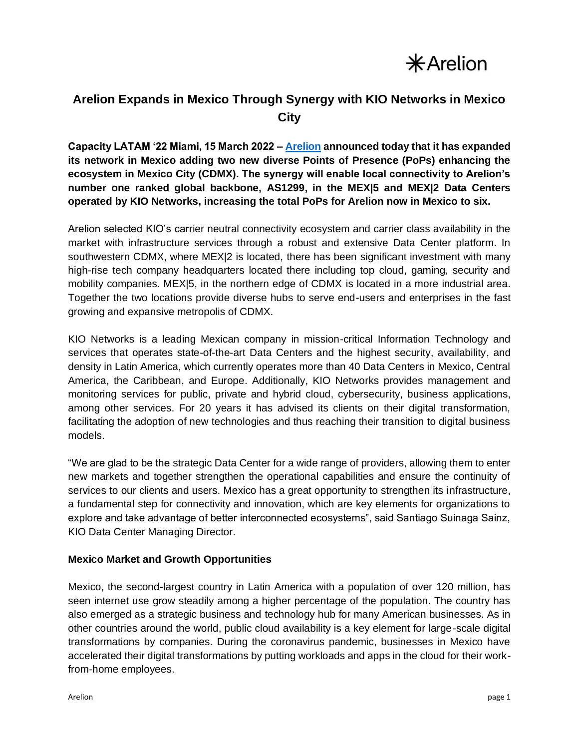$*$ Arelion

## **Arelion Expands in Mexico Through Synergy with KIO Networks in Mexico City**

**Capacity LATAM '22 Miami, 15 March 2022 – [Arelion](https://www.arelion.com/) announced today that it has expanded its network in Mexico adding two new diverse Points of Presence (PoPs) enhancing the ecosystem in Mexico City (CDMX). The synergy will enable local connectivity to Arelion's number one ranked global backbone, [AS1299,](https://www.arelion.com/our-network.html) in the MEX|5 and MEX|2 Data Centers operated by [KIO Networks,](https://www.kionetworks.com/) increasing the total PoPs for Arelion now in Mexico to six.**

Arelion selected KIO's carrier neutral connectivity ecosystem and carrier class availability in the market with infrastructure services through a robust and extensive Data Center platform. In southwestern CDMX, where MEXI2 is located, there has been significant investment with many high-rise tech company headquarters located there including top cloud, gaming, security and mobility companies. MEX|5, in the northern edge of CDMX is located in a more industrial area. Together the two locations provide diverse hubs to serve end-users and enterprises in the fast growing and expansive metropolis of CDMX.

KIO Networks is a leading Mexican company in mission-critical Information Technology and services that operates state-of-the-art Data Centers and the highest security, availability, and density in Latin America, which currently operates more than 40 Data Centers in Mexico, Central America, the Caribbean, and Europe. Additionally, KIO Networks provides management and monitoring services for public, private and hybrid cloud, cybersecurity, business applications, among other services. For 20 years it has advised its clients on their digital transformation, facilitating the adoption of new technologies and thus reaching their transition to digital business models.

"We are glad to be the strategic Data Center for a wide range of providers, allowing them to enter new markets and together strengthen the operational capabilities and ensure the continuity of services to our clients and users. Mexico has a great opportunity to strengthen its infrastructure, a fundamental step for connectivity and innovation, which are key elements for organizations to explore and take advantage of better interconnected ecosystems", said Santiago Suinaga Sainz, KIO Data Center Managing Director.

## **Mexico Market and Growth Opportunities**

Mexico, the second-largest country in Latin America with a population of over 120 million, has seen internet use grow steadily among a higher percentage of the population. The country has also emerged as a strategic business and technology hub for many American businesses. As in other countries around the world, public cloud availability is a key element for large-scale digital transformations by companies. During the coronavirus pandemic, businesses in Mexico have accelerated their digital transformations by putting workloads and apps in the cloud for their workfrom-home employees.